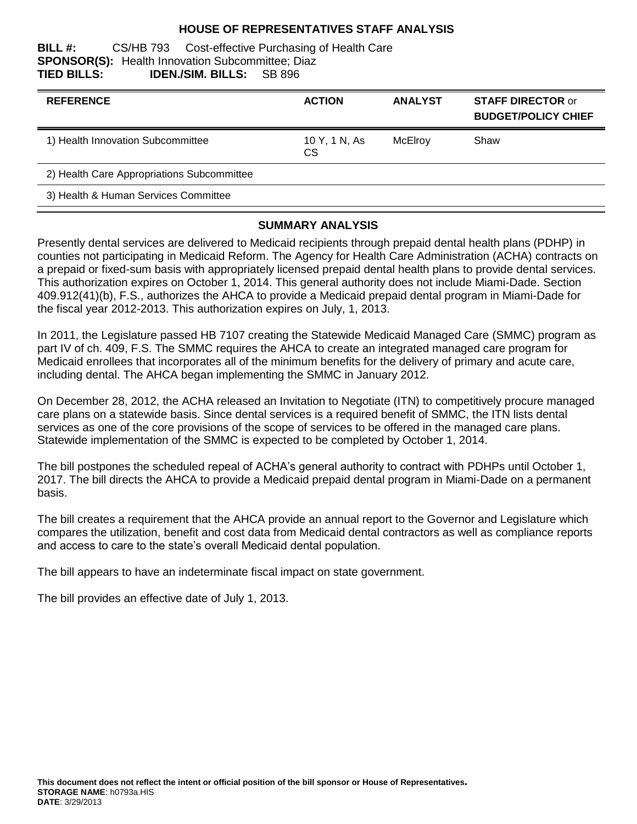#### **HOUSE OF REPRESENTATIVES STAFF ANALYSIS**

#### **BILL #:** CS/HB 793 Cost-effective Purchasing of Health Care **SPONSOR(S):** Health Innovation Subcommittee; Diaz **TIED BILLS: IDEN./SIM. BILLS:** SB 896

| <b>REFERENCE</b>                           | <b>ACTION</b>              | <b>ANALYST</b> | <b>STAFF DIRECTOR or</b><br><b>BUDGET/POLICY CHIEF</b> |
|--------------------------------------------|----------------------------|----------------|--------------------------------------------------------|
| 1) Health Innovation Subcommittee          | 10 Y, 1 N, As<br><b>CS</b> | McElroy        | Shaw                                                   |
| 2) Health Care Appropriations Subcommittee |                            |                |                                                        |
| 3) Health & Human Services Committee       |                            |                |                                                        |

#### **SUMMARY ANALYSIS**

Presently dental services are delivered to Medicaid recipients through prepaid dental health plans (PDHP) in counties not participating in Medicaid Reform. The Agency for Health Care Administration (ACHA) contracts on a prepaid or fixed-sum basis with appropriately licensed prepaid dental health plans to provide dental services. This authorization expires on October 1, 2014. This general authority does not include Miami-Dade. Section 409.912(41)(b), F.S., authorizes the AHCA to provide a Medicaid prepaid dental program in Miami-Dade for the fiscal year 2012-2013. This authorization expires on July, 1, 2013.

In 2011, the Legislature passed HB 7107 creating the Statewide Medicaid Managed Care (SMMC) program as part IV of ch. 409, F.S. The SMMC requires the AHCA to create an integrated managed care program for Medicaid enrollees that incorporates all of the minimum benefits for the delivery of primary and acute care, including dental. The AHCA began implementing the SMMC in January 2012.

On December 28, 2012, the ACHA released an Invitation to Negotiate (ITN) to competitively procure managed care plans on a statewide basis. Since dental services is a required benefit of SMMC, the ITN lists dental services as one of the core provisions of the scope of services to be offered in the managed care plans. Statewide implementation of the SMMC is expected to be completed by October 1, 2014.

The bill postpones the scheduled repeal of ACHA's general authority to contract with PDHPs until October 1, 2017. The bill directs the AHCA to provide a Medicaid prepaid dental program in Miami-Dade on a permanent basis.

The bill creates a requirement that the AHCA provide an annual report to the Governor and Legislature which compares the utilization, benefit and cost data from Medicaid dental contractors as well as compliance reports and access to care to the state's overall Medicaid dental population.

The bill appears to have an indeterminate fiscal impact on state government.

The bill provides an effective date of July 1, 2013.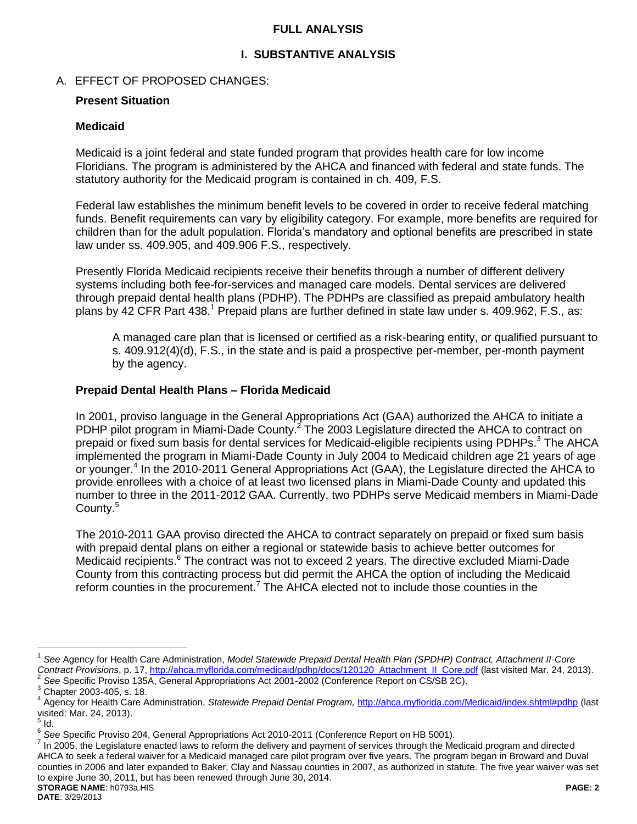### **FULL ANALYSIS**

## **I. SUBSTANTIVE ANALYSIS**

## A. EFFECT OF PROPOSED CHANGES:

### **Present Situation**

#### **Medicaid**

Medicaid is a joint federal and state funded program that provides health care for low income Floridians. The program is administered by the AHCA and financed with federal and state funds. The statutory authority for the Medicaid program is contained in ch. 409, F.S.

Federal law establishes the minimum benefit levels to be covered in order to receive federal matching funds. Benefit requirements can vary by eligibility category. For example, more benefits are required for children than for the adult population. Florida's mandatory and optional benefits are prescribed in state law under ss. 409.905, and 409.906 F.S., respectively.

Presently Florida Medicaid recipients receive their benefits through a number of different delivery systems including both fee-for-services and managed care models. Dental services are delivered through prepaid dental health plans (PDHP). The PDHPs are classified as prepaid ambulatory health plans by 42 CFR Part 438.<sup>1</sup> Prepaid plans are further defined in state law under s. 409.962, F.S., as:

A managed care plan that is licensed or certified as a risk-bearing entity, or qualified pursuant to s. 409.912(4)(d), F.S., in the state and is paid a prospective per-member, per-month payment by the agency.

## **Prepaid Dental Health Plans – Florida Medicaid**

In 2001, proviso language in the General Appropriations Act (GAA) authorized the AHCA to initiate a PDHP pilot program in Miami-Dade County.<sup>2</sup> The 2003 Legislature directed the AHCA to contract on prepaid or fixed sum basis for dental services for Medicaid-eligible recipients using PDHPs.<sup>3</sup> The AHCA implemented the program in Miami-Dade County in July 2004 to Medicaid children age 21 years of age or younger.<sup>4</sup> In the 2010-2011 General Appropriations Act (GAA), the Legislature directed the AHCA to provide enrollees with a choice of at least two licensed plans in Miami-Dade County and updated this number to three in the 2011-2012 GAA. Currently, two PDHPs serve Medicaid members in Miami-Dade County.<sup>5</sup>

The 2010-2011 GAA proviso directed the AHCA to contract separately on prepaid or fixed sum basis with prepaid dental plans on either a regional or statewide basis to achieve better outcomes for Medicaid recipients.<sup>6</sup> The contract was not to exceed 2 years. The directive excluded Miami-Dade County from this contracting process but did permit the AHCA the option of including the Medicaid reform counties in the procurement.<sup>7</sup> The AHCA elected not to include those counties in the

 $\overline{a}$ 

**STORAGE NAME**: h0793a.HIS **PAGE: 2**  $^7$  In 2005, the Legislature enacted laws to reform the delivery and payment of services through the Medicaid program and directed AHCA to seek a federal waiver for a Medicaid managed care pilot program over five years. The program began in Broward and Duval counties in 2006 and later expanded to Baker, Clay and Nassau counties in 2007, as authorized in statute. The five year waiver was set to expire June 30, 2011, but has been renewed through June 30, 2014.

<sup>1</sup> *See* Agency for Health Care Administration, *Model Statewide Prepaid Dental Health Plan (SPDHP) Contract, Attachment II-Core Contract Provisions*, p. 17, [http://ahca.myflorida.com/medicaid/pdhp/docs/120120\\_Attachment\\_II\\_Core.pdf](http://ahca.myflorida.com/medicaid/pdhp/docs/120120_Attachment_II_Core.pdf) (last visited Mar. 24, 2013). 2

*See* Specific Proviso 135A, General Appropriations Act 2001-2002 (Conference Report on CS/SB 2C).

<sup>3</sup> Chapter 2003-405, s. 18.

<sup>4</sup> Agency for Health Care Administration, *Statewide Prepaid Dental Program,* [http://ahca.myflorida.com/Medicaid/index.shtml#pdhp](http://ahca.myflorida.com/Medicaid/index.shtml%23pdhp) (last visited: Mar. 24, 2013).

 $\frac{5}{1}$ ld.

<sup>6</sup> *See* Specific Proviso 204, General Appropriations Act 2010-2011 (Conference Report on HB 5001).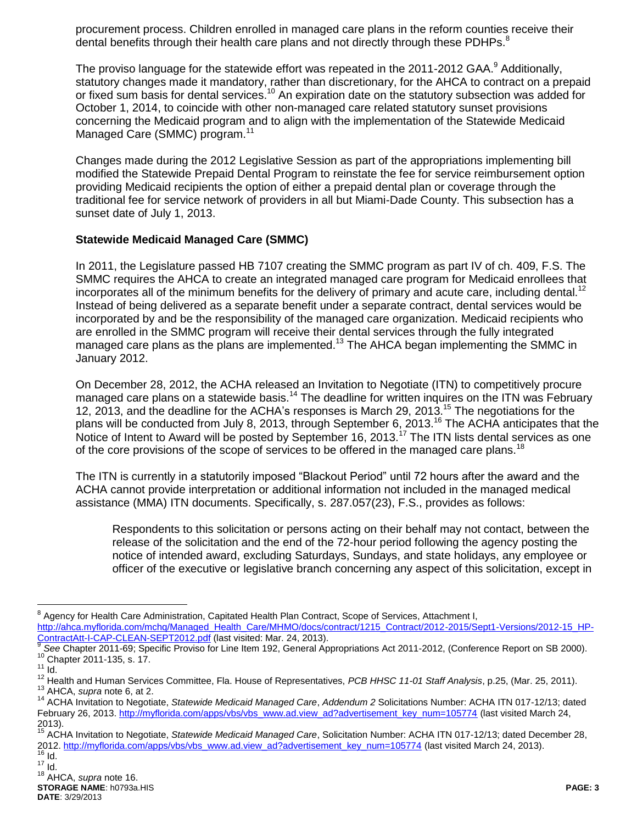procurement process. Children enrolled in managed care plans in the reform counties receive their dental benefits through their health care plans and not directly through these PDHPs.<sup>8</sup>

The proviso language for the statewide effort was repeated in the 2011-2012 GAA.<sup>9</sup> Additionally, statutory changes made it mandatory, rather than discretionary, for the AHCA to contract on a prepaid or fixed sum basis for dental services.<sup>10</sup> An expiration date on the statutory subsection was added for October 1, 2014, to coincide with other non-managed care related statutory sunset provisions concerning the Medicaid program and to align with the implementation of the Statewide Medicaid Managed Care (SMMC) program.<sup>11</sup>

Changes made during the 2012 Legislative Session as part of the appropriations implementing bill modified the Statewide Prepaid Dental Program to reinstate the fee for service reimbursement option providing Medicaid recipients the option of either a prepaid dental plan or coverage through the traditional fee for service network of providers in all but Miami-Dade County. This subsection has a sunset date of July 1, 2013.

## **Statewide Medicaid Managed Care (SMMC)**

In 2011, the Legislature passed HB 7107 creating the SMMC program as part IV of ch. 409, F.S. The SMMC requires the AHCA to create an integrated managed care program for Medicaid enrollees that incorporates all of the minimum benefits for the delivery of primary and acute care, including dental.<sup>12</sup> Instead of being delivered as a separate benefit under a separate contract, dental services would be incorporated by and be the responsibility of the managed care organization. Medicaid recipients who are enrolled in the SMMC program will receive their dental services through the fully integrated managed care plans as the plans are implemented.<sup>13</sup> The AHCA began implementing the SMMC in January 2012.

On December 28, 2012, the ACHA released an Invitation to Negotiate (ITN) to competitively procure managed care plans on a statewide basis.<sup>14</sup> The deadline for written inquires on the ITN was February 12, 2013, and the deadline for the ACHA's responses is March 29, 2013.<sup>15</sup> The negotiations for the plans will be conducted from July 8, 2013, through September 6, 2013.<sup>16</sup> The ACHA anticipates that the Notice of Intent to Award will be posted by September 16, 2013.<sup>17</sup> The ITN lists dental services as one of the core provisions of the scope of services to be offered in the managed care plans.<sup>18</sup>

The ITN is currently in a statutorily imposed "Blackout Period" until 72 hours after the award and the ACHA cannot provide interpretation or additional information not included in the managed medical assistance (MMA) ITN documents. Specifically, s. 287.057(23), F.S., provides as follows:

Respondents to this solicitation or persons acting on their behalf may not contact, between the release of the solicitation and the end of the 72-hour period following the agency posting the notice of intended award, excluding Saturdays, Sundays, and state holidays, any employee or officer of the executive or legislative branch concerning any aspect of this solicitation, except in

 $\overline{a}$ 

<sup>&</sup>lt;sup>8</sup> Agency for Health Care Administration, Capitated Health Plan Contract, Scope of Services, Attachment I, [http://ahca.myflorida.com/mchq/Managed\\_Health\\_Care/MHMO/docs/contract/1215\\_Contract/2012-2015/Sept1-Versions/2012-15\\_HP-](http://ahca.myflorida.com/mchq/Managed_Health_Care/MHMO/docs/contract/1215_Contract/2012-2015/Sept1-Versions/2012-15_HP-ContractAtt-I-CAP-CLEAN-SEPT2012.pdf)[ContractAtt-I-CAP-CLEAN-SEPT2012.pdf](http://ahca.myflorida.com/mchq/Managed_Health_Care/MHMO/docs/contract/1215_Contract/2012-2015/Sept1-Versions/2012-15_HP-ContractAtt-I-CAP-CLEAN-SEPT2012.pdf) (last visited: Mar. 24, 2013). 9

*See* Chapter 2011-69; Specific Proviso for Line Item 192, General Appropriations Act 2011-2012, (Conference Report on SB 2000). <sup>10</sup> Chapter 2011-135, s. 17.

 $11$  Id.

<sup>12</sup> Health and Human Services Committee, Fla. House of Representatives, *PCB HHSC 11-01 Staff Analysis*, p.25, (Mar. 25, 2011). <sup>13</sup> AHCA, *supra* note 6, at 2.

<sup>14</sup> ACHA Invitation to Negotiate, *Statewide Medicaid Managed Care*, *Addendum 2* Solicitations Number: ACHA ITN 017-12/13; dated February 26, 2013[. http://myflorida.com/apps/vbs/vbs\\_www.ad.view\\_ad?advertisement\\_key\\_num=105774](http://myflorida.com/apps/vbs/vbs_www.ad.view_ad?advertisement_key_num=105774) (last visited March 24,  $2013$ .

<sup>15</sup> ACHA Invitation to Negotiate, *Statewide Medicaid Managed Care*, Solicitation Number: ACHA ITN 017-12/13; dated December 28, 2012. [http://myflorida.com/apps/vbs/vbs\\_www.ad.view\\_ad?advertisement\\_key\\_num=105774](http://myflorida.com/apps/vbs/vbs_www.ad.view_ad?advertisement_key_num=105774) (last visited March 24, 2013).

 $16$  Id.

 $17$   $\overline{1}$ d.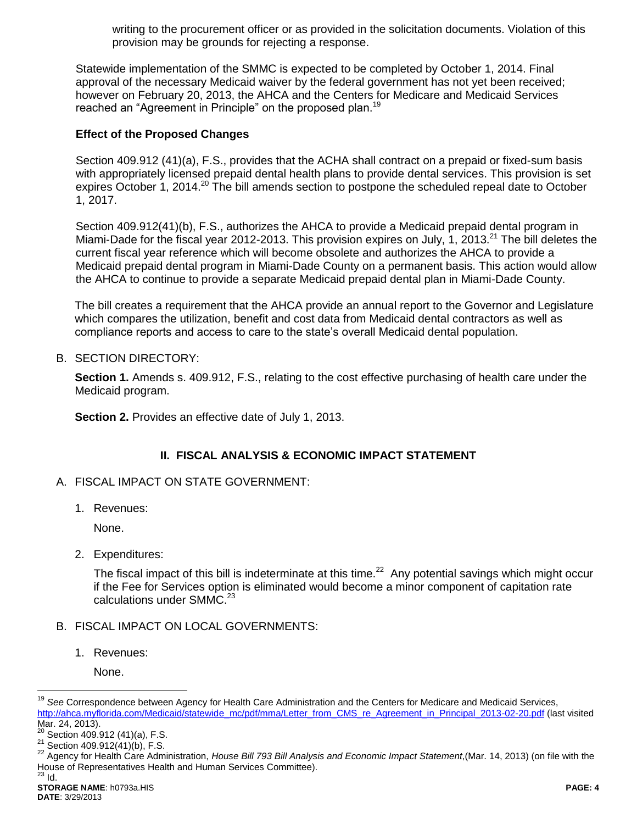writing to the procurement officer or as provided in the solicitation documents. Violation of this provision may be grounds for rejecting a response.

Statewide implementation of the SMMC is expected to be completed by October 1, 2014. Final approval of the necessary Medicaid waiver by the federal government has not yet been received; however on February 20, 2013, the AHCA and the Centers for Medicare and Medicaid Services reached an "Agreement in Principle" on the proposed plan.<sup>19</sup>

### **Effect of the Proposed Changes**

Section 409.912 (41)(a), F.S., provides that the ACHA shall contract on a prepaid or fixed-sum basis with appropriately licensed prepaid dental health plans to provide dental services. This provision is set expires October 1, 2014.<sup>20</sup> The bill amends section to postpone the scheduled repeal date to October 1, 2017.

Section 409.912(41)(b), F.S., authorizes the AHCA to provide a Medicaid prepaid dental program in Miami-Dade for the fiscal year 2012-2013. This provision expires on July, 1, 2013.<sup>21</sup> The bill deletes the current fiscal year reference which will become obsolete and authorizes the AHCA to provide a Medicaid prepaid dental program in Miami-Dade County on a permanent basis. This action would allow the AHCA to continue to provide a separate Medicaid prepaid dental plan in Miami-Dade County.

The bill creates a requirement that the AHCA provide an annual report to the Governor and Legislature which compares the utilization, benefit and cost data from Medicaid dental contractors as well as compliance reports and access to care to the state's overall Medicaid dental population.

B. SECTION DIRECTORY:

**Section 1.** Amends s. 409.912, F.S., relating to the cost effective purchasing of health care under the Medicaid program.

**Section 2.** Provides an effective date of July 1, 2013.

## **II. FISCAL ANALYSIS & ECONOMIC IMPACT STATEMENT**

- A. FISCAL IMPACT ON STATE GOVERNMENT:
	- 1. Revenues:

None.

2. Expenditures:

The fiscal impact of this bill is indeterminate at this time.<sup>22</sup> Any potential savings which might occur if the Fee for Services option is eliminated would become a minor component of capitation rate calculations under SMMC. $^{23}$ 

- B. FISCAL IMPACT ON LOCAL GOVERNMENTS:
	- 1. Revenues:

None.

 $\overline{a}$ 

<sup>19</sup> *See* Correspondence between Agency for Health Care Administration and the Centers for Medicare and Medicaid Services, [http://ahca.myflorida.com/Medicaid/statewide\\_mc/pdf/mma/Letter\\_from\\_CMS\\_re\\_Agreement\\_in\\_Principal\\_2013-02-20.pdf](http://ahca.myflorida.com/Medicaid/statewide_mc/pdf/mma/Letter_from_CMS_re_Agreement_in_Principal_2013-02-20.pdf) (last visited Mar. 24, 2013).

 $20$  Section 409.912 (41)(a), F.S.

 $21$  Section 409.912(41)(b), F.S.

<sup>22</sup> Agency for Health Care Administration, *House Bill 793 Bill Analysis and Economic Impact Statement*,(Mar. 14, 2013) (on file with the House of Representatives Health and Human Services Committee).